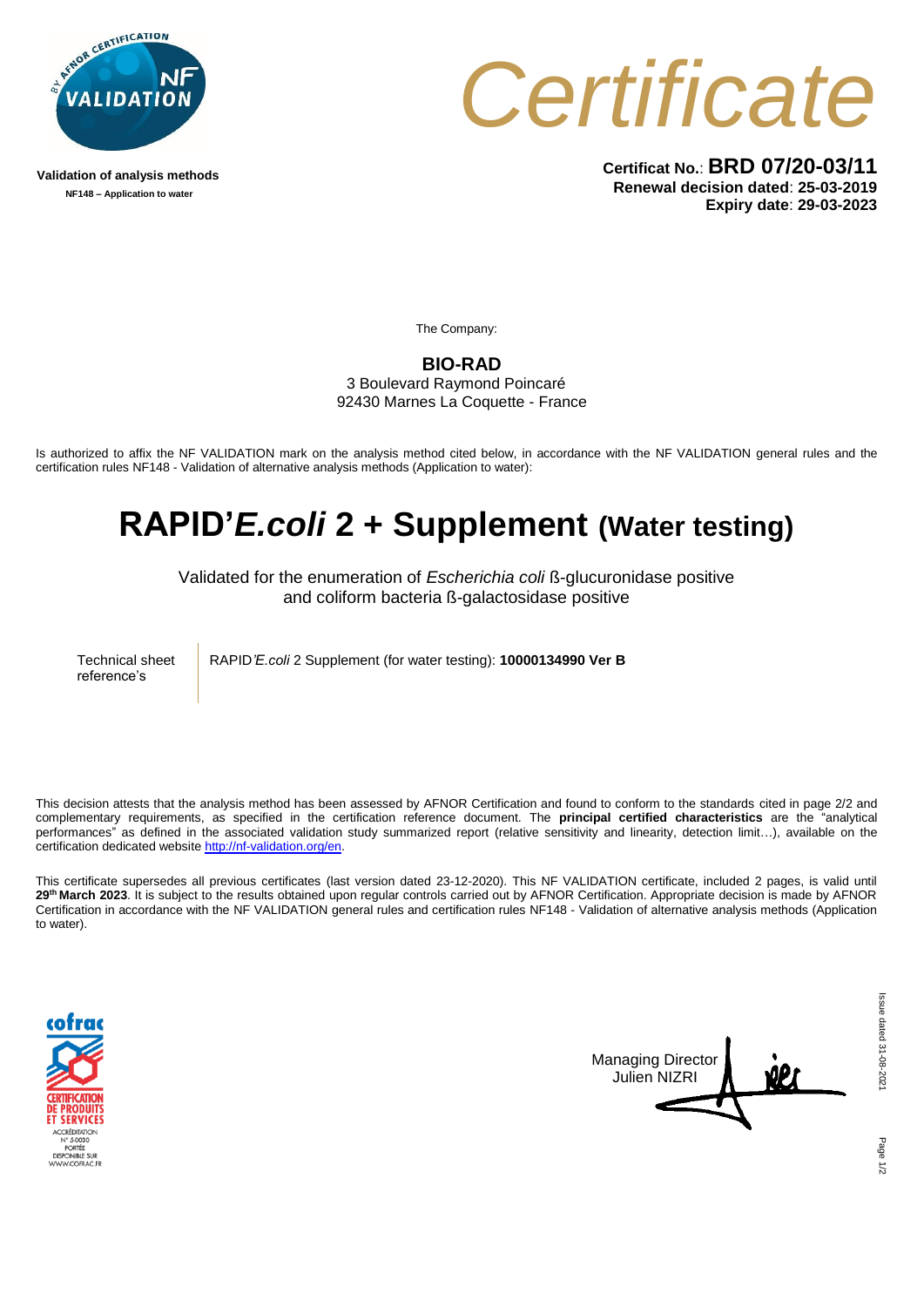

**Validation of analysis methods NF148 – Application to water**



**Certificat No.**: **BRD 07/20-03/11 Renewal decision dated**: **25-03-2019 Expiry date**: **29-03-2023**

The Company:

**BIO-RAD**

3 Boulevard Raymond Poincaré 92430 Marnes La Coquette - France

Is authorized to affix the NF VALIDATION mark on the analysis method cited below, in accordance with the NF VALIDATION general rules and the certification rules NF148 - Validation of alternative analysis methods (Application to water):

## **RAPID'***E.coli* **2 + Supplement (Water testing)**

Validated for the enumeration of *Escherichia coli* ß-glucuronidase positive and coliform bacteria ß-galactosidase positive

Technical sheet reference's

RAPID*'E.coli* 2 Supplement (for water testing): **10000134990 Ver B**

This decision attests that the analysis method has been assessed by AFNOR Certification and found to conform to the standards cited in page 2/2 and complementary requirements, as specified in the certification reference document. The **principal certified characteristics** are the "analytical performances" as defined in the associated validation study summarized report (relative sensitivity and linearity, detection limit…), available on the certification dedicated website [http://nf-validation.org/en.](http://nf-validation.org/en)

This certificate supersedes all previous certificates (last version dated 23-12-2020). This NF VALIDATION certificate, included 2 pages, is valid until **29th March 2023**. It is subject to the results obtained upon regular controls carried out by AFNOR Certification. Appropriate decision is made by AFNOR Certification in accordance with the NF VALIDATION general rules and certification rules NF148 - Validation of alternative analysis methods (Application to water).